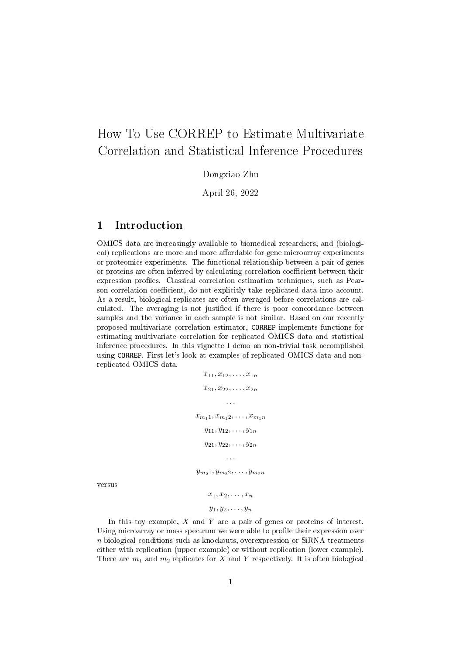# How To Use CORREP to Estimate Multivariate Correlation and Statistical Inference Procedures

Dongxiao Zhu

April 26, 2022

### 1 Introduction

OMICS data are increasingly available to biomedical researchers, and (biological) replications are more and more affordable for gene microarray experiments or proteomics experiments. The functional relationship between a pair of genes or proteins are often inferred by calculating correlation coefficient between their expression profiles. Classical correlation estimation techniques, such as Pearson correlation coefficient, do not explicitly take replicated data into account. As a result, biological replicates are often averaged before correlations are calculated. The averaging is not justified if there is poor concordance between samples and the variance in each sample is not similar. Based on our recently proposed multivariate correlation estimator, CORREP implements functions for estimating multivariate correlation for replicated OMICS data and statistical inference procedures. In this vignette I demo an non-trivial task accomplished using CORREP. First let's look at examples of replicated OMICS data and nonreplicated OMICS data.

$$
x_{11}, x_{12}, \ldots, x_{1n}
$$
  
\n
$$
x_{21}, x_{22}, \ldots, x_{2n}
$$
  
\n...  
\n
$$
x_{m_1 1}, x_{m_1 2}, \ldots, x_{m_1 n}
$$
  
\n
$$
y_{11}, y_{12}, \ldots, y_{1n}
$$
  
\n
$$
y_{21}, y_{22}, \ldots, y_{2n}
$$
  
\n...  
\n
$$
y_{m_2 1}, y_{m_2 2}, \ldots, y_{m_2 n}
$$
  
\n
$$
x_1, x_2, \ldots, x_n
$$
  
\n
$$
y_1, y_2, \ldots, y_n
$$

versus

In this toy example,  $X$  and  $Y$  are a pair of genes or proteins of interest. Using microarray or mass spectrum we were able to profile their expression over n biological conditions such as knockouts, overexpression or SiRNA treatments either with replication (upper example) or without replication (lower example). There are  $m_1$  and  $m_2$  replicates for X and Y respectively. It is often biological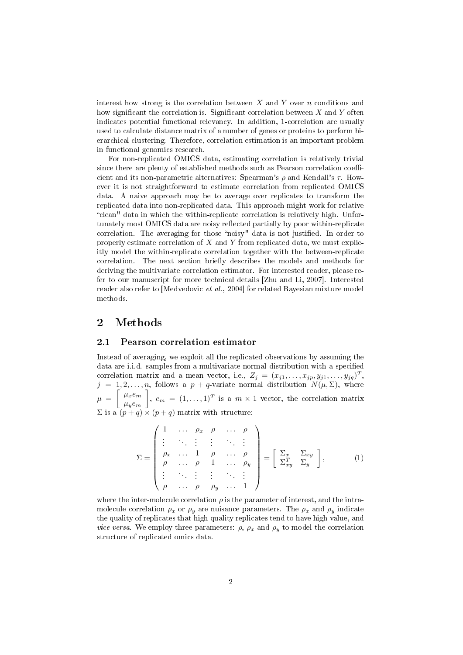interest how strong is the correlation between  $X$  and  $Y$  over  $n$  conditions and how significant the correlation is. Significant correlation between  $X$  and  $Y$  often indicates potential functional relevancy. In addition, 1-correlation are usually used to calculate distance matrix of a number of genes or proteins to perform hierarchical clustering. Therefore, correlation estimation is an important problem in functional genomics research.

For non-replicated OMICS data, estimating correlation is relatively trivial since there are plenty of established methods such as Pearson correlation coefficient and its non-parametric alternatives: Spearman's  $\rho$  and Kendall's  $\tau$ . However it is not straightforward to estimate correlation from replicated OMICS data. A naive approach may be to average over replicates to transform the replicated data into non-replicated data. This approach might work for relative "clean" data in which the within-replicate correlation is relatively high. Unfortunately most OMICS data are noisy reflected partially by poor within-replicate correlation. The averaging for those "noisy" data is not justified. In order to properly estimate correlation of  $X$  and  $Y$  from replicated data, we must explicitly model the within-replicate correlation together with the between-replicate correlation. The next section briefly describes the models and methods for deriving the multivariate correlation estimator. For interested reader, please refer to our manuscript for more technical details [Zhu and Li, 2007]. Interested reader also refer to [Medvedovic et al., 2004] for related Bayesian mixture model methods.

### 2 Methods

### 2.1 Pearson correlation estimator

Instead of averaging, we exploit all the replicated observations by assuming the data are i.i.d. samples from a multivariate normal distribution with a specified correlation matrix and a mean vector, i.e.,  $Z_j = (x_{j1}, \ldots, x_{jp}, y_{j1}, \ldots, y_{jq})^T$ ,  $j = 1, 2, \ldots, n$ , follows a  $p + q$ -variate normal distribution  $N(\mu, \Sigma)$ , where  $\mu = \begin{bmatrix} \mu_x e_m \end{bmatrix}$  $\mu_{y}e_{m}$ ,  $e_m = (1, \ldots, 1)^T$  is a  $m \times 1$  vector, the correlation matrix  $\Sigma$  is a  $(p+q) \times (p+q)$  matrix with structure:

$$
\Sigma = \begin{pmatrix}\n1 & \cdots & \rho_x & \rho & \cdots & \rho \\
\vdots & & \vdots & \vdots & & \vdots \\
\rho_x & \cdots & 1 & \rho & \cdots & \rho \\
\rho & \cdots & \rho & 1 & \cdots & \rho_y \\
\vdots & & \vdots & \vdots & & \vdots \\
\rho & \cdots & \rho & \rho_y & \cdots & 1\n\end{pmatrix} = \begin{bmatrix}\n\Sigma_x & \Sigma_{xy} \\
\Sigma_{xy}^T & \Sigma_y\n\end{bmatrix},
$$
\n(1)

where the inter-molecule correlation  $\rho$  is the parameter of interest, and the intramolecule correlation  $\rho_x$  or  $\rho_y$  are nuisance parameters. The  $\rho_x$  and  $\rho_y$  indicate the quality of replicates that high quality replicates tend to have high value, and *vice versa*. We employ three parameters:  $\rho$ ,  $\rho_x$  and  $\rho_y$  to model the correlation structure of replicated omics data.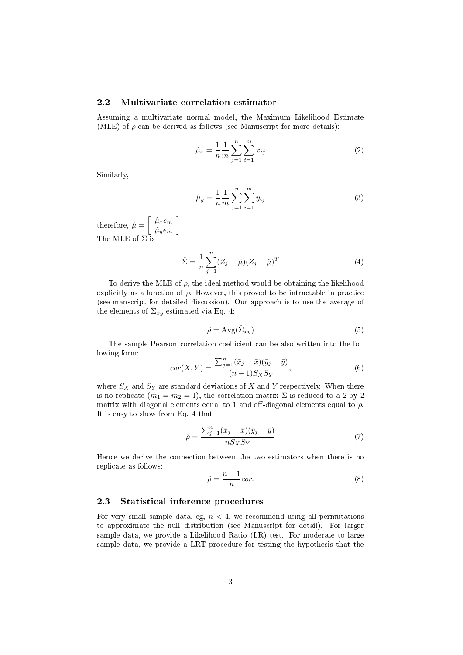#### 2.2 Multivariate correlation estimator

1

Assuming a multivariate normal model, the Maximum Likelihood Estimate (MLE) of  $\rho$  can be derived as follows (see Manuscript for more details):

$$
\hat{\mu}_x = \frac{1}{n} \frac{1}{m} \sum_{j=1}^n \sum_{i=1}^m x_{ij} \tag{2}
$$

Similarly,

$$
\hat{\mu}_y = \frac{1}{n} \frac{1}{m} \sum_{j=1}^n \sum_{i=1}^m y_{ij} \tag{3}
$$

therefore,  $\hat{\mu} = \begin{bmatrix} \hat{\mu}_x e_m \ \hat{c} \end{bmatrix}$  $\hat{\mu}_y e_m$ The MLE of  $\Sigma$  is

$$
\hat{\Sigma} = \frac{1}{n} \sum_{j=1}^{n} (Z_j - \hat{\mu})(Z_j - \hat{\mu})^T
$$
\n(4)

To derive the MLE of  $\rho$ , the ideal method would be obtaining the likelihood explicitly as a function of  $\rho$ . However, this proved to be intractable in practice (see manscript for detailed discussion). Our approach is to use the average of the elements of  $\hat{\Sigma}_{xy}$  estimated via Eq. 4:

$$
\hat{\rho} = \text{Avg}(\hat{\Sigma}_{xy})\tag{5}
$$

The sample Pearson correlation coefficient can be also written into the following form:

$$
cor(X,Y) = \frac{\sum_{j=1}^{n} (\bar{x}_j - \bar{x})(\bar{y}_j - \bar{y})}{(n-1)S_X S_Y},
$$
\n(6)

where  $S_X$  and  $S_Y$  are standard deviations of X and Y respectively. When there is no replicate  $(m_1 = m_2 = 1)$ , the correlation matrix  $\Sigma$  is reduced to a 2 by 2 matrix with diagonal elements equal to 1 and off-diagonal elements equal to  $\rho$ . It is easy to show from Eq. 4 that

$$
\hat{\rho} = \frac{\sum_{j=1}^{n} (\bar{x}_j - \bar{x})(\bar{y}_j - \bar{y})}{nS_X S_Y} \tag{7}
$$

Hence we derive the connection between the two estimators when there is no replicate as follows:

$$
\hat{\rho} = \frac{n-1}{n} \text{cor.}
$$
\n<sup>(8)</sup>

### 2.3 Statistical inference procedures

For very small sample data, eg,  $n < 4$ , we recommend using all permutations to approximate the null distribution (see Manuscript for detail). For larger sample data, we provide a Likelihood Ratio (LR) test. For moderate to large sample data, we provide a LRT procedure for testing the hypothesis that the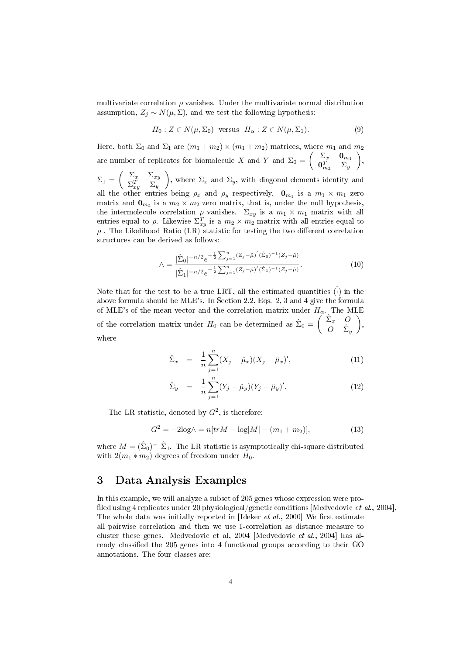multivariate correlation  $\rho$  vanishes. Under the multivariate normal distribution assumption,  $Z_i \sim N(\mu, \Sigma)$ , and we test the following hypothesis:

$$
H_0: Z \in N(\mu, \Sigma_0) \text{ versus } H_\alpha: Z \in N(\mu, \Sigma_1). \tag{9}
$$

Here, both  $\Sigma_0$  and  $\Sigma_1$  are  $(m_1 + m_2) \times (m_1 + m_2)$  matrices, where  $m_1$  and  $m_2$ are number of replicates for biomolecule X and Y and  $\Sigma_0 = \begin{pmatrix} \Sigma_x & \mathbf{0}_{m_1} \\ \mathbf{0}^T & \Sigma_y \end{pmatrix}$  $\mathbf{0}_{m_{2}}^{T}$   $\Sigma_{y}$  $\bigg),$ 

 $\Sigma_1 = \begin{pmatrix} \Sigma_x & \Sigma_{xy} \ \nabla T & \nabla \end{pmatrix}$  $\Sigma_{xy}^T$   $\Sigma_y$ ), where  $\Sigma_x$  and  $\Sigma_y$ , with diagonal elements identity and all the other entries being  $\rho_x$  and  $\rho_y$  respectively.  $\mathbf{0}_{m_1}$  is a  $m_1 \times m_1$  zero matrix and  $\mathbf{0}_{m_2}$  is a  $m_2 \times m_2$  zero matrix, that is, under the null hypothesis, the intermolecule correlation  $\rho$  vanishes.  $\Sigma_{xy}$  is a  $m_1 \times m_1$  matrix with all entries equal to  $\rho$ . Likewise  $\Sigma_{xy}^T$  is a  $m_2 \times m_2$  matrix with all entries equal to  $\rho$ . The Likelihood Ratio (LR) statistic for testing the two different correlation structures can be derived as follows:

$$
\wedge = \frac{|\hat{\Sigma}_0|^{-n/2} e^{-\frac{1}{2} \sum_{j=1}^n (Z_j - \hat{\mu})'} (\hat{\Sigma}_0)^{-1} (Z_j - \hat{\mu})}{|\hat{\Sigma}_1|^{-n/2} e^{-\frac{1}{2} \sum_{j=1}^n (Z_j - \hat{\mu})'} (\hat{\Sigma}_1)^{-1} (Z_j - \hat{\mu})}.
$$
\n(10)

Note that for the test to be a true LRT, all the estimated quantities  $\hat{(\cdot)}$  in the above formula should be MLE's. In Section 2.2, Eqs. 2, 3 and 4 give the formula of MLE's of the mean vector and the correlation matrix under  $H_{\alpha}$ . The MLE of the correlation matrix under  $H_0$  can be determined as  $\hat{\Sigma}_0 = \begin{pmatrix} \hat{\Sigma}_x & O \\ O & \hat{\Sigma}_z \end{pmatrix}$  $O \quad \hat{\Sigma}_y$  $\bigg),$ where

$$
\hat{\Sigma}_x = \frac{1}{n} \sum_{j=1}^n (X_j - \hat{\mu}_x)(X_j - \hat{\mu}_x)', \qquad (11)
$$

$$
\hat{\Sigma}_y = \frac{1}{n} \sum_{j=1}^n (Y_j - \hat{\mu}_y)(Y_j - \hat{\mu}_y)'. \tag{12}
$$

The LR statistic, denoted by  $G^2$ , is therefore:

$$
G^{2} = -2\log \wedge = n[trM - \log|M| - (m_{1} + m_{2})],
$$
\n(13)

where  $M = (\hat{\Sigma}_0)^{-1} \hat{\Sigma}_1$ . The LR statistic is asymptotically chi-square distributed with  $2(m_1 * m_2)$  degrees of freedom under  $H_0$ .

### 3 Data Analysis Examples

In this example, we will analyze a subset of 205 genes whose expression were pro filed using 4 replicates under 20 physiological/genetic conditions [Medvedovic *et al.*, 2004]. The whole data was initially reported in  $\text{Ideker } et \text{ } al., 2000\text{]}$  We first estimate all pairwise correlation and then we use 1-correlation as distance measure to cluster these genes. Medvedovic et al, 2004 [Medvedovic et al., 2004] has already classified the 205 genes into 4 functional groups according to their GO annotations. The four classes are: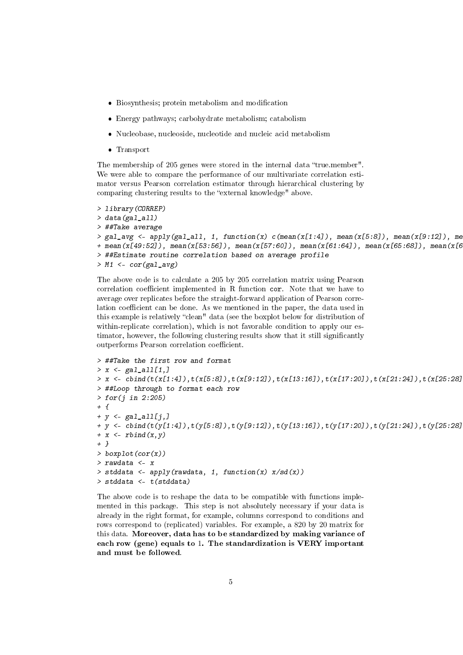- $\bullet$  Biosynthesis; protein metabolism and modification
- Energy pathways; carbohydrate metabolism; catabolism
- Nucleobase, nucleoside, nucleotide and nucleic acid metabolism
- Transport

The membership of 205 genes were stored in the internal data "true.member". We were able to compare the performance of our multivariate correlation estimator versus Pearson correlation estimator through hierarchical clustering by comparing clustering results to the "external knowledge" above.

```
> library(CORREP)
> data(gal all)
> ##Take average
> gal_avg <- apply(gal_all, 1, function(x) c(mean(x[1:4]), mean(x[5:8]), mean(x[9:12]), me
+ mean(x[49:52]), mean(x[53:56]), mean(x[57:60]), mean(x[61:64]), mean(x[65:68]), mean(x[69:72]), mean(x[73:76]), mean(x[77:80])))
> ##Estimate routine correlation based on average profile
> M1 <- cor(gal_avg)
```
The above code is to calculate a 205 by 205 correlation matrix using Pearson correlation coefficient implemented in R function cor. Note that we have to average over replicates before the straight-forward application of Pearson correlation coefficient can be done. As we mentioned in the paper, the data used in this example is relatively "clean" data (see the boxplot below for distribution of within-replicate correlation), which is not favorable condition to apply our estimator, however, the following clustering results show that it still significantly outperforms Pearson correlation coefficient.

```
> ##Take the first row and format
> x < - gal_all[1,]
> x <- cbind(t(x[1:4]),t(x[5:8]),t(x[9:12]),t(x[13:16]),t(x[17:20]),t(x[21:24]),t(x[25:28]
> ##Loop through to format each row
> for(j in 2:205)
+ {
+ y \leq gal_all[j,]
+ y <- cbind(t(y[1:4]),t(y[5:8]),t(y[9:12]),t(y[13:16]),t(y[17:20]),t(y[21:24]),t(y[25:28]
+ x \leftarrow r \text{bind}(x, y)+ }
> boxplot(cor(x))
> rawdata <- x
> stddata <- apply(rawdata, 1, function(x) x/sd(x))
> stddata <- t(stddata)
```
The above code is to reshape the data to be compatible with functions implemented in this package. This step is not absolutely necessary if your data is already in the right format, for example, columns correspond to conditions and rows correspond to (replicated) variables. For example, a 820 by 20 matrix for this data. Moreover, data has to be standardized by making variance of each row (gene) equals to 1. The standardization is VERY important and must be followed.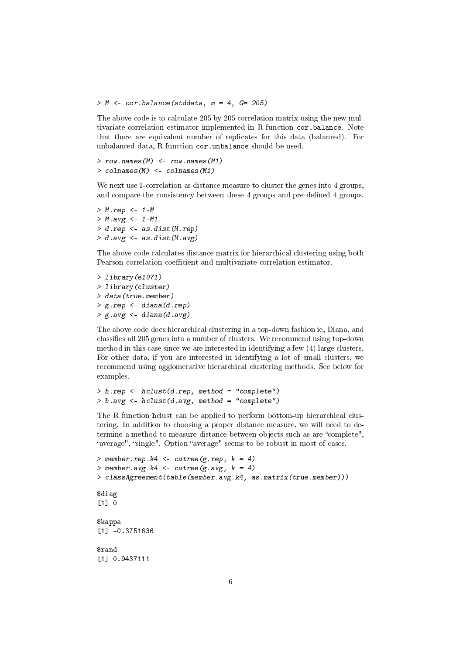#### $> M \le$  cor.balance(stddata,  $m = 4$ ,  $G = 205$ )

The above code is to calculate 205 by 205 correlation matrix using the new multivariate correlation estimator implemented in R function cor.balance. Note that there are equivalent number of replicates for this data (balanced). For unbalanced data, R function cor.unbalance should be used.

```
> row.names(M) <- row.names(M1)> colnames(M) <- colnames(M1)
```
We next use 1-correlation as distance measure to cluster the genes into 4 groups. and compare the consistency between these 4 groups and pre-defined 4 groups.

```
> M.rep <- 1-M
> M. avg < -1-M1> d.rep <- as.dist(M.rep)
> d. avg \leftarrow as.dist(M. avg)
```
The above code calculates distance matrix for hierarchical clustering using both Pearson correlation coefficient and multivariate correlation estimator.

> library(e1071) > library(cluster) > data(true.member) > g.rep <- diana(d.rep) > g.avg <- diana(d.avg)

The above code does hierarchical clustering in a top-down fashion ie, Diana, and classifies all 205 genes into a number of clusters. We recommend using top-down method in this case since we are interested in identifying a few (4) large clusters. For other data, if you are interested in identifying a lot of small clusters, we recommend using agglomerative hierarchical clustering methods. See below for examples.

```
> h.rep <- hclust(d.rep, method = "complete")
> h. avg \leq - hclust(d. avg, method = "complete")
```
The R function hclust can be applied to perform bottom-up hierarchical clustering. In addition to choosing a proper distance measure, we will need to determine a method to measure distance between objects such as are "complete", "average", "single". Option "average" seems to be robust in most of cases.

```
> member.rep.k4 <- cutree(g.rep, k = 4)
> member.avg.k4 <- cutree(g.avg, k = 4)
> classAgreement(table(member.avg.k4, as.matrix(true.member)))
$diag
[1] 0$kappa
[1] -0.3751636
$rand
[1] 0.9437111
```